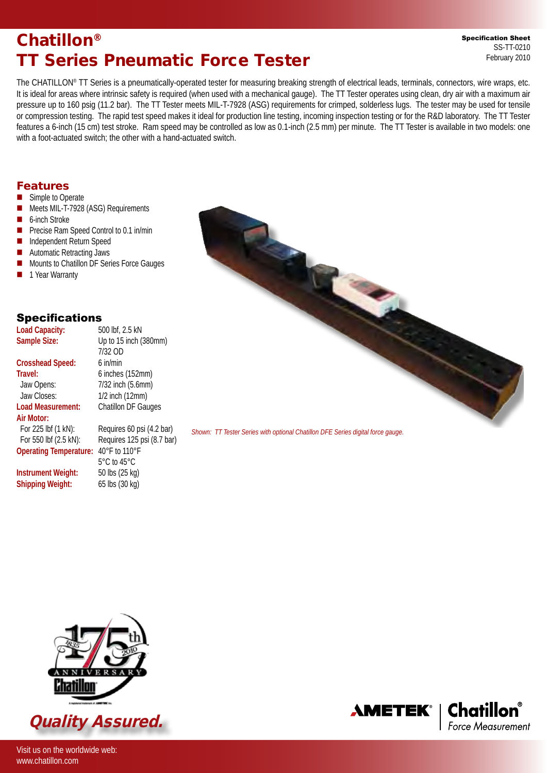# Chatillon® TT Series Pneumatic Force Tester

Specification Sheet SS-TT-0210 February 2010

The CHATILLON® TT Series is a pneumatically-operated tester for measuring breaking strength of electrical leads, terminals, connectors, wire wraps, etc. It is ideal for areas where intrinsic safety is required (when used with a mechanical gauge). The TT Tester operates using clean, dry air with a maximum air pressure up to 160 psig (11.2 bar). The TT Tester meets MIL-T-7928 (ASG) requirements for crimped, solderless lugs. The tester may be used for tensile or compression testing. The rapid test speed makes it ideal for production line testing, incoming inspection testing or for the R&D laboratory. The TT Tester features a 6-inch (15 cm) test stroke. Ram speed may be controlled as low as 0.1-inch (2.5 mm) per minute. The TT Tester is available in two models: one with a foot-actuated switch; the other with a hand-actuated switch.

## Features

- **n** Simple to Operate
- Meets MIL-T-7928 (ASG) Requirements
- 6-inch Stroke
- **n** Precise Ram Speed Control to 0.1 in/min
- Independent Return Speed
- Automatic Retracting Jaws
- Mounts to Chatillon DF Series Force Gauges
- **n** 1 Year Warranty

## Specifications

| <b>Load Capacity:</b>         | 500 lbf, 2.5 kN                  |
|-------------------------------|----------------------------------|
| Sample Size:                  | Up to 15 inch (380mm)            |
|                               | 7/32 OD                          |
| <b>Crosshead Speed:</b>       | $6$ in/min                       |
| Travel:                       | 6 inches (152mm)                 |
| Jaw Opens:                    | 7/32 inch (5.6mm)                |
| Jaw Closes:                   | 1/2 inch (12mm)                  |
| Load Measurement:             | <b>Chatillon DF Gauges</b>       |
| Air Motor:                    |                                  |
| For 225 lbf (1 kN):           | Requires 60 psi (4.2 bar)        |
| For 550 lbf (2.5 kN):         | Requires 125 psi (8.7 bar)       |
| <b>Operating Temperature:</b> | 40°F to 110°F                    |
|                               | $5^{\circ}$ C to 45 $^{\circ}$ C |
| Instrument Weight:            | 50 lbs (25 kg)                   |
| <b>Shipping Weight:</b>       | 65 lbs (30 kg)                   |



*Shown: TT Tester Series with optional Chatillon DFE Series digital force gauge.*



Visit us on the worldwide web:

www.chatillon.com